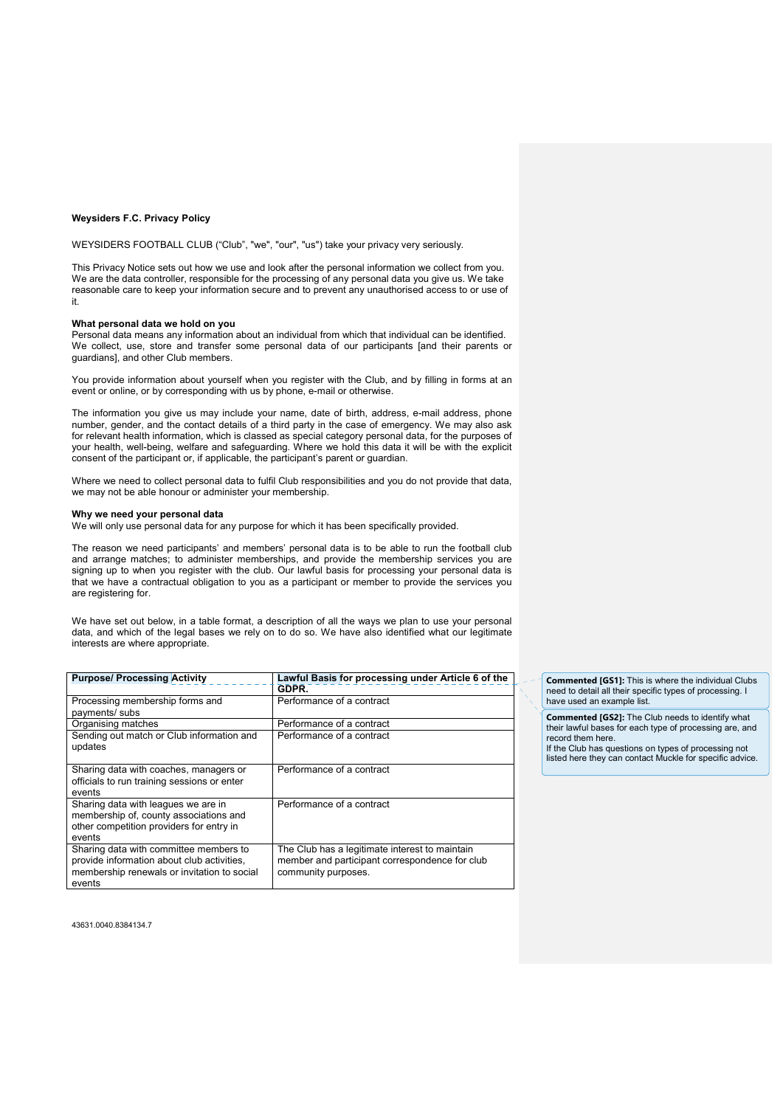### **Weysiders F.C. Privacy Policy**

WEYSIDERS FOOTBALL CLUB ("Club", "we", "our", "us") take your privacy very seriously.

This Privacy Notice sets out how we use and look after the personal information we collect from you. We are the data controller, responsible for the processing of any personal data you give us. We take reasonable care to keep your information secure and to prevent any unauthorised access to or use of it.

### **What personal data we hold on you**

Personal data means any information about an individual from which that individual can be identified. We collect, use, store and transfer some personal data of our participants [and their parents or guardians], and other Club members.

You provide information about yourself when you register with the Club, and by filling in forms at an event or online, or by corresponding with us by phone, e-mail or otherwise.

The information you give us may include your name, date of birth, address, e-mail address, phone number, gender, and the contact details of a third party in the case of emergency. We may also ask for relevant health information, which is classed as special category personal data, for the purposes of your health, well-being, welfare and safeguarding. Where we hold this data it will be with the explicit consent of the participant or, if applicable, the participant's parent or guardian.

Where we need to collect personal data to fulfil Club responsibilities and you do not provide that data, we may not be able honour or administer your membership.

#### **Why we need your personal data**

We will only use personal data for any purpose for which it has been specifically provided.

The reason we need participants' and members' personal data is to be able to run the football club and arrange matches; to administer memberships, and provide the membership services you are signing up to when you register with the club. Our lawful basis for processing your personal data is that we have a contractual obligation to you as a participant or member to provide the services you are registering for.

We have set out below, in a table format, a description of all the ways we plan to use your personal data, and which of the legal bases we rely on to do so. We have also identified what our legitimate interests are where appropriate.

| <b>Purpose/ Processing Activity</b>         | Lawful Basis for processing under Article 6 of the |
|---------------------------------------------|----------------------------------------------------|
|                                             | GDPR.                                              |
| Processing membership forms and             | Performance of a contract                          |
| payments/ subs                              |                                                    |
| Organising matches                          | Performance of a contract                          |
| Sending out match or Club information and   | Performance of a contract                          |
| updates                                     |                                                    |
|                                             |                                                    |
| Sharing data with coaches, managers or      | Performance of a contract                          |
| officials to run training sessions or enter |                                                    |
| events                                      |                                                    |
| Sharing data with leagues we are in         | Performance of a contract                          |
| membership of, county associations and      |                                                    |
| other competition providers for entry in    |                                                    |
| events                                      |                                                    |
| Sharing data with committee members to      | The Club has a legitimate interest to maintain     |
| provide information about club activities,  | member and participant correspondence for club     |
| membership renewals or invitation to social | community purposes.                                |
| events                                      |                                                    |

**Commented [GS1]:** This is where the individual Clubs need to detail all their specific types of processing. I have used an example list.

**Commented [GS2]:** The Club needs to identify what their lawful bases for each type of processing are, and record them here.

If the Club has questions on types of processing not listed here they can contact Muckle for specific advice.

43631.0040.8384134.7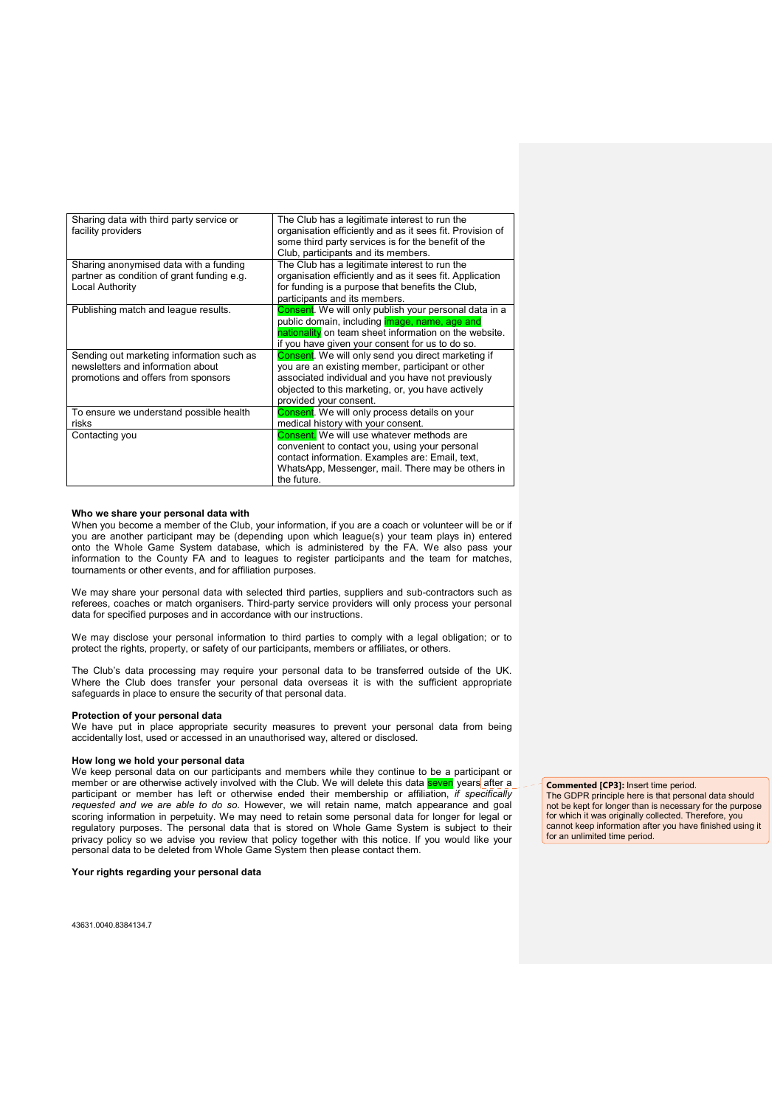| Sharing data with third party service or<br>facility providers | The Club has a legitimate interest to run the<br>organisation efficiently and as it sees fit. Provision of<br>some third party services is for the benefit of the |
|----------------------------------------------------------------|-------------------------------------------------------------------------------------------------------------------------------------------------------------------|
|                                                                | Club, participants and its members.                                                                                                                               |
| Sharing anonymised data with a funding                         | The Club has a legitimate interest to run the                                                                                                                     |
| partner as condition of grant funding e.g.                     | organisation efficiently and as it sees fit. Application                                                                                                          |
| Local Authority                                                | for funding is a purpose that benefits the Club,                                                                                                                  |
|                                                                | participants and its members.                                                                                                                                     |
| Publishing match and league results.                           | Consent. We will only publish your personal data in a                                                                                                             |
|                                                                | public domain, including <i>image</i> , name, age and                                                                                                             |
|                                                                | nationality on team sheet information on the website.                                                                                                             |
|                                                                | if you have given your consent for us to do so.                                                                                                                   |
| Sending out marketing information such as                      | Consent. We will only send you direct marketing if                                                                                                                |
| newsletters and information about                              | you are an existing member, participant or other                                                                                                                  |
| promotions and offers from sponsors                            | associated individual and you have not previously                                                                                                                 |
|                                                                | objected to this marketing, or, you have actively                                                                                                                 |
|                                                                | provided your consent.                                                                                                                                            |
| To ensure we understand possible health                        | <b>Consent.</b> We will only process details on your                                                                                                              |
| risks                                                          | medical history with your consent.                                                                                                                                |
| Contacting you                                                 | <b>Consent.</b> We will use whatever methods are                                                                                                                  |
|                                                                | convenient to contact you, using your personal                                                                                                                    |
|                                                                | contact information. Examples are: Email, text,                                                                                                                   |
|                                                                | WhatsApp, Messenger, mail. There may be others in                                                                                                                 |
|                                                                | the future.                                                                                                                                                       |

# **Who we share your personal data with**

When you become a member of the Club, your information, if you are a coach or volunteer will be or if you are another participant may be (depending upon which league(s) your team plays in) entered onto the Whole Game System database, which is administered by the FA. We also pass your information to the County FA and to leagues to register participants and the team for matches, tournaments or other events, and for affiliation purposes.

We may share your personal data with selected third parties, suppliers and sub-contractors such as referees, coaches or match organisers. Third-party service providers will only process your personal data for specified purposes and in accordance with our instructions.

We may disclose your personal information to third parties to comply with a legal obligation; or to protect the rights, property, or safety of our participants, members or affiliates, or others.

The Club's data processing may require your personal data to be transferred outside of the UK. Where the Club does transfer your personal data overseas it is with the sufficient appropriate safeguards in place to ensure the security of that personal data.

## **Protection of your personal data**

We have put in place appropriate security measures to prevent your personal data from being accidentally lost, used or accessed in an unauthorised way, altered or disclosed.

# **How long we hold your personal data**

We keep personal data on our participants and members while they continue to be a participant or member or are otherwise actively involved with the Club. We will delete this data <mark>seven</mark> years after a participant or member has left or otherwise ended their membership or affiliation, *if specifically requested and we are able to do so*. However, we will retain name, match appearance and goal scoring information in perpetuity. We may need to retain some personal data for longer for legal or regulatory purposes. The personal data that is stored on Whole Game System is subject to their privacy policy so we advise you review that policy together with this notice. If you would like your personal data to be deleted from Whole Game System then please contact them.

#### **Your rights regarding your personal data**

43631.0040.8384134.7

**Commented [CP3]:** Insert time period. The GDPR principle here is that personal data should not be kept for longer than is necessary for the purpose for which it was originally collected. Therefore, you cannot keep information after you have finished using it

for an unlimited time period.